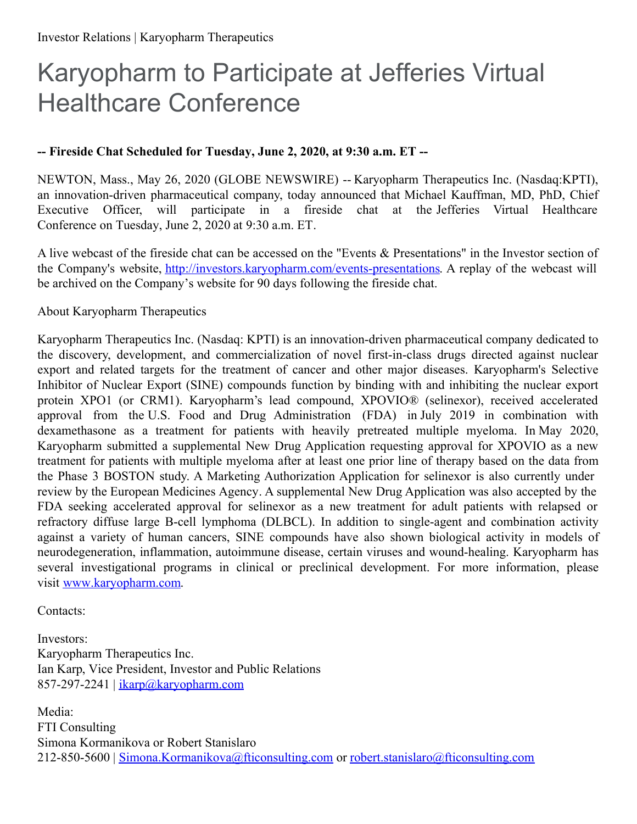## Karyopharm to Participate at Jefferies Virtual Healthcare Conference

## **-- Fireside Chat Scheduled for Tuesday, June 2, 2020, at 9:30 a.m. ET --**

NEWTON, Mass., May 26, 2020 (GLOBE NEWSWIRE) -- Karyopharm Therapeutics Inc. (Nasdaq:KPTI), an innovation-driven pharmaceutical company, today announced that Michael Kauffman, MD, PhD, Chief Executive Officer, will participate in a fireside chat at the Jefferies Virtual Healthcare Conference on Tuesday, June 2, 2020 at 9:30 a.m. ET.

A live webcast of the fireside chat can be accessed on the "Events & Presentations" in the Investor section of the Company's website, [http://investors.karyopharm.com/events-presentations](https://www.globenewswire.com/Tracker?data=us5YKoeG8S-mdx9PaahchbF3ro65NP9DkSpnvTI9_DD4pSb2YRzeK9L64417-WLgTcckcRuJgqsEZAqdfa7YU58O1ZW2WwvprUpog1x9LjLiohFC82mXJKJfRyDEMql0_iKfkLVHo7xLaA3PFha2AiFxHUWmRPp-nlcw4gvqh7U=). A replay of the webcast will be archived on the Company's website for 90 days following the fireside chat.

## About Karyopharm Therapeutics

Karyopharm Therapeutics Inc. (Nasdaq: KPTI) is an innovation-driven pharmaceutical company dedicated to the discovery, development, and commercialization of novel first-in-class drugs directed against nuclear export and related targets for the treatment of cancer and other major diseases. Karyopharm's Selective Inhibitor of Nuclear Export (SINE) compounds function by binding with and inhibiting the nuclear export protein XPO1 (or CRM1). Karyopharm's lead compound, XPOVIO® (selinexor), received accelerated approval from the U.S. Food and Drug Administration (FDA) in July 2019 in combination with dexamethasone as a treatment for patients with heavily pretreated multiple myeloma. In May 2020, Karyopharm submitted a supplemental New Drug Application requesting approval for XPOVIO as a new treatment for patients with multiple myeloma after at least one prior line of therapy based on the data from the Phase 3 BOSTON study. A Marketing Authorization Application for selinexor is also currently under review by the European Medicines Agency. A supplemental New Drug Application was also accepted by the FDA seeking accelerated approval for selinexor as a new treatment for adult patients with relapsed or refractory diffuse large B-cell lymphoma (DLBCL). In addition to single-agent and combination activity against a variety of human cancers, SINE compounds have also shown biological activity in models of neurodegeneration, inflammation, autoimmune disease, certain viruses and wound-healing. Karyopharm has several investigational programs in clinical or preclinical development. For more information, please visit [www.karyopharm.com](https://www.globenewswire.com/Tracker?data=X5Yb0FrDuVq6J1PYxc05hDgHqPLCaCHq5Weli8q6cq967ZHjRagMN7ugoTp2o-brp0-c2UwG4H35mpYpkjCEzkJWU93rlQcCU8ksNu7SEJE=).

Contacts:

Investors: Karyopharm Therapeutics Inc. Ian Karp, Vice President, Investor and Public Relations 857-297-2241 | [ikarp@karyopharm.com](https://www.globenewswire.com/Tracker?data=psxYp1bFIszu4UQYFaVoqQAP6W4siCIX2rof9iDbZ4OgKpTIW2w6YKG8PvxXkQWNCt2zViQsOCmLAovtLL1BHMmMSD5ixYu86NXDjo7JTVI=)

Media: FTI Consulting Simona Kormanikova or Robert Stanislaro 212-850-5600 | [Simona.Kormanikova@fticonsulting.com](https://www.globenewswire.com/Tracker?data=1Jy4FSnuP1_W2KHENoMXhLsjEcp8ADLjtk9OWPM8bVc5OvhBuxN9anSADRLgA6jPujTTLIF1K3zc2UswDLCli0T0pYWghZm-ERCTuhYoWAylWu8YTf9FYTz3PuFJUn0q8AnWXj4qlnpcQpmr1MpI8w==) or [robert.stanislaro@fticonsulting.com](https://www.globenewswire.com/Tracker?data=by9V9HQgQbg3DHwRyecORHHqf07O-h-uqCeYmPFb4rGzpwR0clqbxsA4jlz698O3LbigSj8WCLDap_3q-WF4puqsd62lDOam9hGxF0nZ2ucfLEZc-Y7jCVm9vf7DzOfJ2FzJnmMJ7DFQTXbUO-bJbA==)